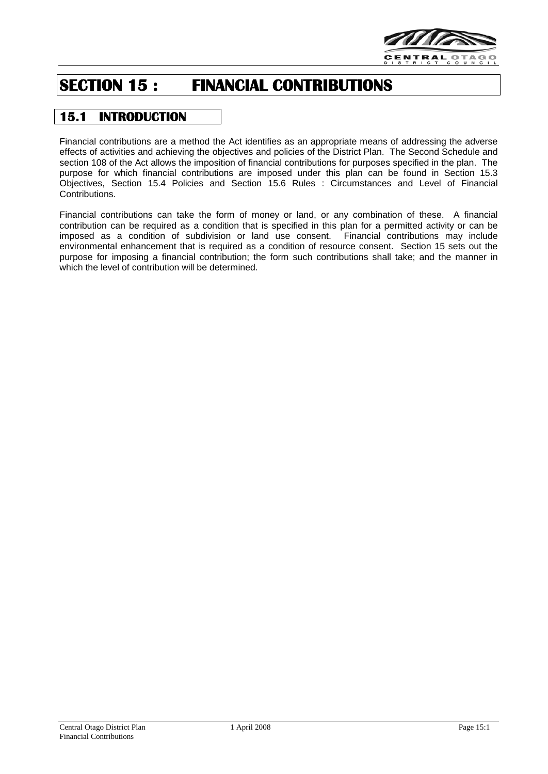

# **SECTION 15 : FINANCIAL CONTRIBUTIONS**

## **15.1 INTRODUCTION**

Financial contributions are a method the Act identifies as an appropriate means of addressing the adverse effects of activities and achieving the objectives and policies of the District Plan. The Second Schedule and section 108 of the Act allows the imposition of financial contributions for purposes specified in the plan. The purpose for which financial contributions are imposed under this plan can be found in Section 15.3 Objectives, Section 15.4 Policies and Section 15.6 Rules : Circumstances and Level of Financial Contributions.

Financial contributions can take the form of money or land, or any combination of these. A financial contribution can be required as a condition that is specified in this plan for a permitted activity or can be imposed as a condition of subdivision or land use consent. Financial contributions may include environmental enhancement that is required as a condition of resource consent. Section 15 sets out the purpose for imposing a financial contribution; the form such contributions shall take; and the manner in which the level of contribution will be determined.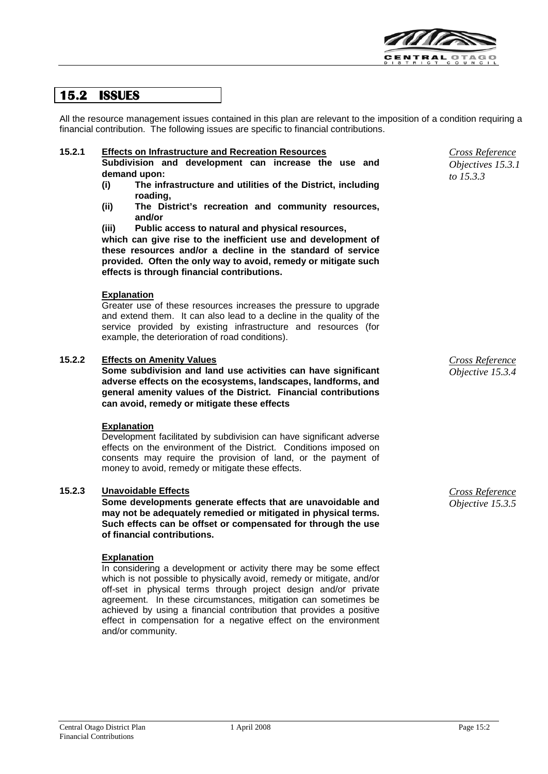

## **15.2 ISSUES**

All the resource management issues contained in this plan are relevant to the imposition of a condition requiring a financial contribution. The following issues are specific to financial contributions.

#### **15.2.1 Effects on Infrastructure and Recreation Resources**

**Subdivision and development can increase the use and demand upon:**

- **(i) The infrastructure and utilities of the District, including roading,**
- **(ii) The District's recreation and community resources, and/or**
- **(iii) Public access to natural and physical resources,**

**which can give rise to the inefficient use and development of these resources and/or a decline in the standard of service provided. Often the only way to avoid, remedy or mitigate such effects is through financial contributions.**

#### **Explanation**

Greater use of these resources increases the pressure to upgrade and extend them. It can also lead to a decline in the quality of the service provided by existing infrastructure and resources (for example, the deterioration of road conditions).

#### **15.2.2 Effects on Amenity Values**

**Some subdivision and land use activities can have significant adverse effects on the ecosystems, landscapes, landforms, and general amenity values of the District. Financial contributions can avoid, remedy or mitigate these effects**

#### **Explanation**

Development facilitated by subdivision can have significant adverse effects on the environment of the District. Conditions imposed on consents may require the provision of land, or the payment of money to avoid, remedy or mitigate these effects.

#### **15.2.3 Unavoidable Effects**

**Some developments generate effects that are unavoidable and may not be adequately remedied or mitigated in physical terms. Such effects can be offset or compensated for through the use of financial contributions.**

#### **Explanation**

In considering a development or activity there may be some effect which is not possible to physically avoid, remedy or mitigate, and/or off-set in physical terms through project design and/or private agreement. In these circumstances, mitigation can sometimes be achieved by using a financial contribution that provides a positive effect in compensation for a negative effect on the environment and/or community.

*Cross Reference Objectives 15.3.1 to 15.3.3*

*Cross Reference Objective 15.3.4*

*Cross Reference Objective 15.3.5*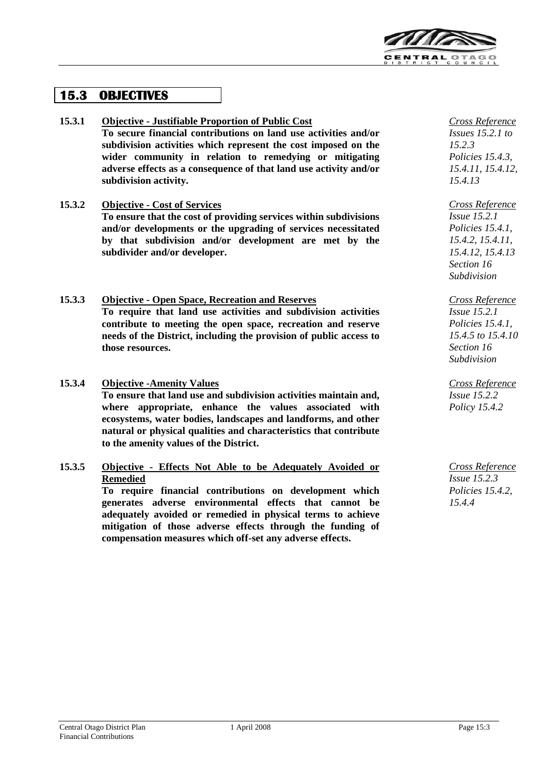

## **15.3 OBJECTIVES**

- **15.3.1 Objective - Justifiable Proportion of Public Cost To secure financial contributions on land use activities and/or subdivision activities which represent the cost imposed on the wider community in relation to remedying or mitigating adverse effects as a consequence of that land use activity and/or subdivision activity.**
- **15.3.2 Objective - Cost of Services**

**To ensure that the cost of providing services within subdivisions and/or developments or the upgrading of services necessitated by that subdivision and/or development are met by the subdivider and/or developer.**

## **15.3.3 Objective - Open Space, Recreation and Reserves**

**To require that land use activities and subdivision activities contribute to meeting the open space, recreation and reserve needs of the District, including the provision of public access to those resources.**

**15.3.4 Objective -Amenity Values**

**To ensure that land use and subdivision activities maintain and, where appropriate, enhance the values associated with ecosystems, water bodies, landscapes and landforms, and other natural or physical qualities and characteristics that contribute to the amenity values of the District.**

## **15.3.5 Objective - Effects Not Able to be Adequately Avoided or Remedied**

**To require financial contributions on development which generates adverse environmental effects that cannot be adequately avoided or remedied in physical terms to achieve mitigation of those adverse effects through the funding of compensation measures which off-set any adverse effects.**

*Cross Reference Issues 15.2.1 to 15.2.3 Policies 15.4.3, 15.4.11, 15.4.12, 15.4.13*

*Cross Reference Issue 15.2.1 Policies 15.4.1, 15.4.2, 15.4.11, 15.4.12, 15.4.13 Section 16 Subdivision*

*Cross Reference Issue 15.2.1 Policies 15.4.1, 15.4.5 to 15.4.10 Section 16 Subdivision*

*Cross Reference Issue 15.2.2 Policy 15.4.2*

*Cross Reference Issue 15.2.3 Policies 15.4.2, 15.4.4*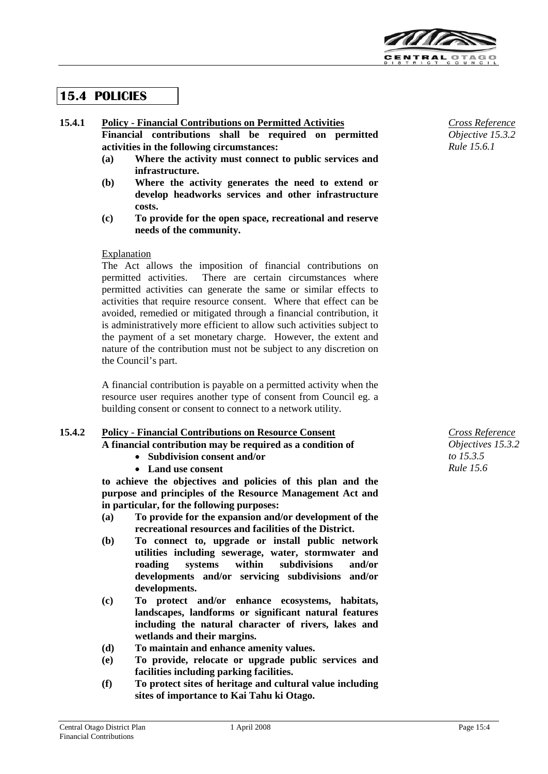

## **15.4 POLICIES**

#### **15.4.1 Policy - Financial Contributions on Permitted Activities Financial contributions shall be required on permitted**

**activities in the following circumstances:**

- **(a) Where the activity must connect to public services and infrastructure.**
- **(b) Where the activity generates the need to extend or develop headworks services and other infrastructure costs.**
- **(c) To provide for the open space, recreational and reserve needs of the community.**

#### Explanation

The Act allows the imposition of financial contributions on permitted activities. There are certain circumstances where permitted activities can generate the same or similar effects to activities that require resource consent. Where that effect can be avoided, remedied or mitigated through a financial contribution, it is administratively more efficient to allow such activities subject to the payment of a set monetary charge. However, the extent and nature of the contribution must not be subject to any discretion on the Council's part.

A financial contribution is payable on a permitted activity when the resource user requires another type of consent from Council eg. a building consent or consent to connect to a network utility.

#### **15.4.2 Policy - Financial Contributions on Resource Consent**

**A financial contribution may be required as a condition of**

- **Subdivision consent and/or**
- **Land use consent**

**to achieve the objectives and policies of this plan and the purpose and principles of the Resource Management Act and in particular, for the following purposes:**

- **(a) To provide for the expansion and/or development of the recreational resources and facilities of the District.**
- **(b) To connect to, upgrade or install public network utilities including sewerage, water, stormwater and roading systems within subdivisions and/or developments and/or servicing subdivisions and/or developments.**
- **(c) To protect and/or enhance ecosystems, habitats, landscapes, landforms or significant natural features including the natural character of rivers, lakes and wetlands and their margins.**
- **(d) To maintain and enhance amenity values.**
- **(e) To provide, relocate or upgrade public services and facilities including parking facilities.**
- **(f) To protect sites of heritage and cultural value including sites of importance to Kai Tahu ki Otago.**

*Cross Reference Objective 15.3.2 Rule 15.6.1*

*Cross Reference Objectives 15.3.2 to 15.3.5 Rule 15.6*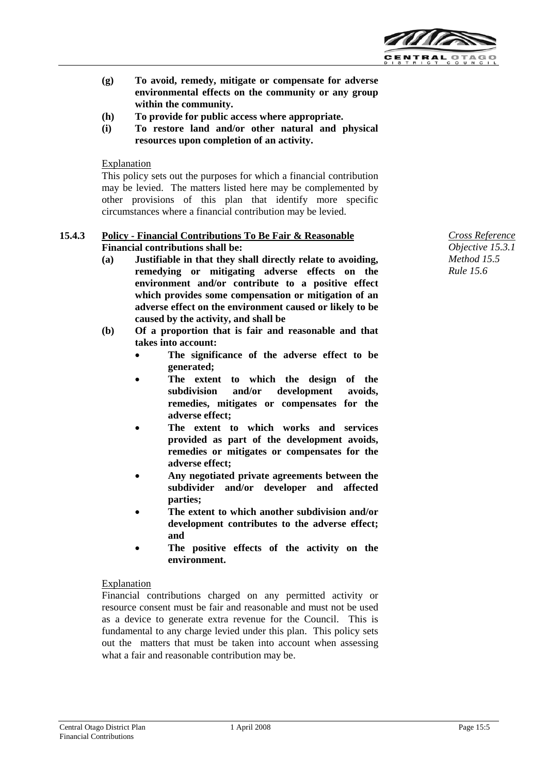

- **(g) To avoid, remedy, mitigate or compensate for adverse environmental effects on the community or any group within the community.**
- **(h) To provide for public access where appropriate.**
- **(i) To restore land and/or other natural and physical resources upon completion of an activity.**

#### **Explanation**

This policy sets out the purposes for which a financial contribution may be levied. The matters listed here may be complemented by other provisions of this plan that identify more specific circumstances where a financial contribution may be levied.

#### **15.4.3 Policy - Financial Contributions To Be Fair & Reasonable Financial contributions shall be:**

- **(a) Justifiable in that they shall directly relate to avoiding, remedying or mitigating adverse effects on the environment and/or contribute to a positive effect which provides some compensation or mitigation of an adverse effect on the environment caused or likely to be caused by the activity, and shall be**
- **(b) Of a proportion that is fair and reasonable and that takes into account:**
	- The significance of the adverse effect to be **generated;**
	- **The extent to which the design of the subdivision and/or development avoids, remedies, mitigates or compensates for the adverse effect;**
	- **The extent to which works and services provided as part of the development avoids, remedies or mitigates or compensates for the adverse effect;**
	- **Any negotiated private agreements between the subdivider and/or developer and affected parties;**
	- **The extent to which another subdivision and/or development contributes to the adverse effect; and**
	- **The positive effects of the activity on the environment.**

#### **Explanation**

Financial contributions charged on any permitted activity or resource consent must be fair and reasonable and must not be used as a device to generate extra revenue for the Council. This is fundamental to any charge levied under this plan. This policy sets out the matters that must be taken into account when assessing what a fair and reasonable contribution may be.

*Cross Reference Objective 15.3.1 Method 15.5 Rule 15.6*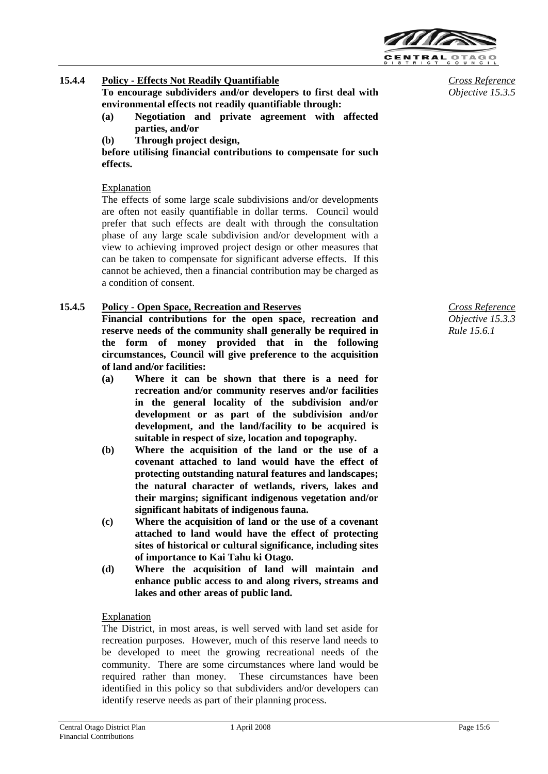

- **15.4.4 Policy - Effects Not Readily Quantifiable To encourage subdividers and/or developers to first deal with environmental effects not readily quantifiable through:**
	- **(a) Negotiation and private agreement with affected parties, and/or**
	- **(b) Through project design,**

**before utilising financial contributions to compensate for such effects.**

## Explanation

The effects of some large scale subdivisions and/or developments are often not easily quantifiable in dollar terms. Council would prefer that such effects are dealt with through the consultation phase of any large scale subdivision and/or development with a view to achieving improved project design or other measures that can be taken to compensate for significant adverse effects. If this cannot be achieved, then a financial contribution may be charged as a condition of consent.

## **15.4.5 Policy - Open Space, Recreation and Reserves**

**Financial contributions for the open space, recreation and reserve needs of the community shall generally be required in the form of money provided that in the following circumstances, Council will give preference to the acquisition of land and/or facilities:**

- **(a) Where it can be shown that there is a need for recreation and/or community reserves and/or facilities in the general locality of the subdivision and/or development or as part of the subdivision and/or development, and the land/facility to be acquired is suitable in respect of size, location and topography.**
- **(b) Where the acquisition of the land or the use of a covenant attached to land would have the effect of protecting outstanding natural features and landscapes; the natural character of wetlands, rivers, lakes and their margins; significant indigenous vegetation and/or significant habitats of indigenous fauna.**
- **(c) Where the acquisition of land or the use of a covenant attached to land would have the effect of protecting sites of historical or cultural significance, including sites of importance to Kai Tahu ki Otago.**
- **(d) Where the acquisition of land will maintain and enhance public access to and along rivers, streams and lakes and other areas of public land.**

## Explanation

The District, in most areas, is well served with land set aside for recreation purposes. However, much of this reserve land needs to be developed to meet the growing recreational needs of the community. There are some circumstances where land would be required rather than money. These circumstances have been identified in this policy so that subdividers and/or developers can identify reserve needs as part of their planning process.

*Cross Reference Objective 15.3.3 Rule 15.6.1*

*Cross Reference Objective 15.3.5*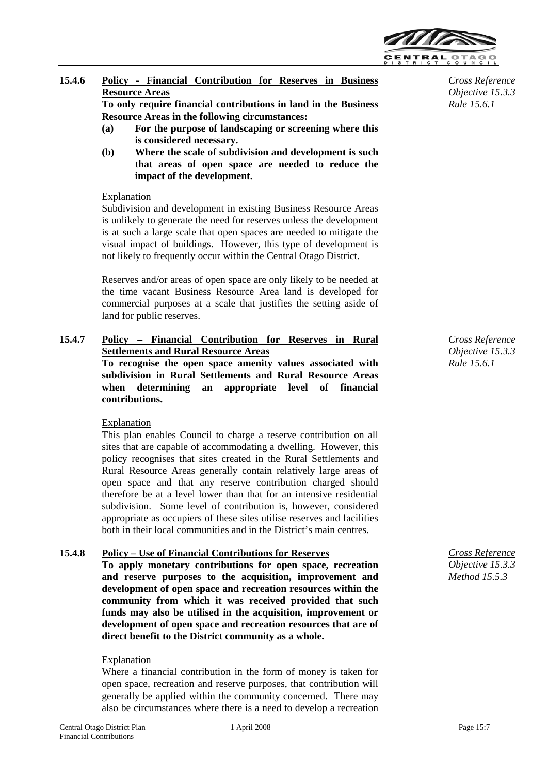

## **15.4.6 Policy - Financial Contribution for Reserves in Business Resource Areas**

**To only require financial contributions in land in the Business Resource Areas in the following circumstances:**

- **(a) For the purpose of landscaping or screening where this is considered necessary.**
- **(b) Where the scale of subdivision and development is such that areas of open space are needed to reduce the impact of the development.**

#### Explanation

Subdivision and development in existing Business Resource Areas is unlikely to generate the need for reserves unless the development is at such a large scale that open spaces are needed to mitigate the visual impact of buildings. However, this type of development is not likely to frequently occur within the Central Otago District.

Reserves and/or areas of open space are only likely to be needed at the time vacant Business Resource Area land is developed for commercial purposes at a scale that justifies the setting aside of land for public reserves.

## **15.4.7 Policy – Financial Contribution for Reserves in Rural Settlements and Rural Resource Areas To recognise the open space amenity values associated with subdivision in Rural Settlements and Rural Resource Areas when determining an appropriate level of financial contributions.**

Explanation

This plan enables Council to charge a reserve contribution on all sites that are capable of accommodating a dwelling. However, this policy recognises that sites created in the Rural Settlements and Rural Resource Areas generally contain relatively large areas of open space and that any reserve contribution charged should therefore be at a level lower than that for an intensive residential subdivision. Some level of contribution is, however, considered appropriate as occupiers of these sites utilise reserves and facilities both in their local communities and in the District's main centres.

## **15.4.8 Policy – Use of Financial Contributions for Reserves**

**To apply monetary contributions for open space, recreation and reserve purposes to the acquisition, improvement and development of open space and recreation resources within the community from which it was received provided that such funds may also be utilised in the acquisition, improvement or development of open space and recreation resources that are of direct benefit to the District community as a whole.**

#### Explanation

Where a financial contribution in the form of money is taken for open space, recreation and reserve purposes, that contribution will generally be applied within the community concerned. There may also be circumstances where there is a need to develop a recreation

*Cross Reference Objective 15.3.3 Rule 15.6.1*

*Cross Reference Objective 15.3.3 Rule 15.6.1*

*Cross Reference Objective 15.3.3 Method 15.5.3*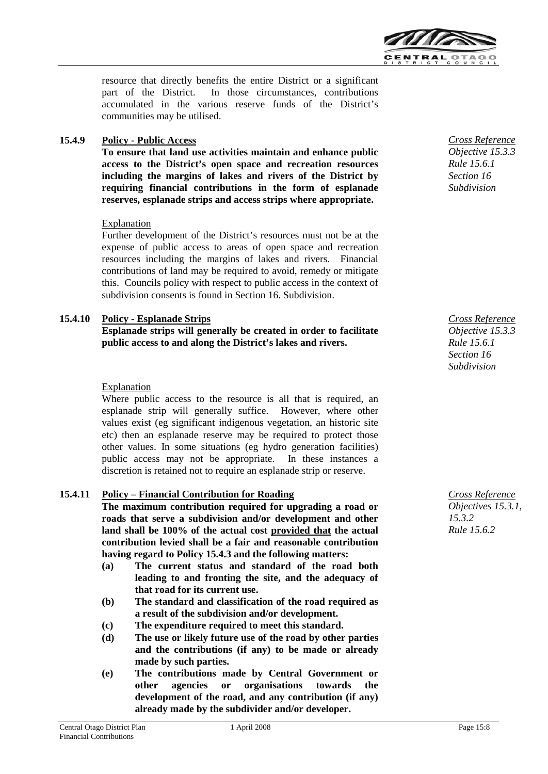

resource that directly benefits the entire District or a significant part of the District. In those circumstances, contributions accumulated in the various reserve funds of the District's communities may be utilised.

#### **15.4.9 Policy - Public Access**

**To ensure that land use activities maintain and enhance public access to the District's open space and recreation resources including the margins of lakes and rivers of the District by requiring financial contributions in the form of esplanade reserves, esplanade strips and access strips where appropriate.**

#### Explanation

Further development of the District's resources must not be at the expense of public access to areas of open space and recreation resources including the margins of lakes and rivers. Financial contributions of land may be required to avoid, remedy or mitigate this. Councils policy with respect to public access in the context of subdivision consents is found in Section 16. Subdivision.

#### **15.4.10 Policy - Esplanade Strips Esplanade strips will generally be created in order to facilitate public access to and along the District's lakes and rivers.**

#### Explanation

Where public access to the resource is all that is required, an esplanade strip will generally suffice. However, where other values exist (eg significant indigenous vegetation, an historic site etc) then an esplanade reserve may be required to protect those other values. In some situations (eg hydro generation facilities) public access may not be appropriate. In these instances a discretion is retained not to require an esplanade strip or reserve.

#### **15.4.11 Policy – Financial Contribution for Roading**

**The maximum contribution required for upgrading a road or roads that serve a subdivision and/or development and other land shall be 100% of the actual cost provided that the actual contribution levied shall be a fair and reasonable contribution having regard to Policy 15.4.3 and the following matters:**

- **(a) The current status and standard of the road both leading to and fronting the site, and the adequacy of that road for its current use.**
- **(b) The standard and classification of the road required as a result of the subdivision and/or development.**
- **(c) The expenditure required to meet this standard.**
- **(d) The use or likely future use of the road by other parties and the contributions (if any) to be made or already made by such parties.**
- **(e) The contributions made by Central Government or other agencies or organisations towards the development of the road, and any contribution (if any) already made by the subdivider and/or developer.**



*Cross Reference Objective 15.3.3 Rule 15.6.1 Section 16 Subdivision*

*Cross Reference Objectives 15.3.1, 15.3.2 Rule 15.6.2*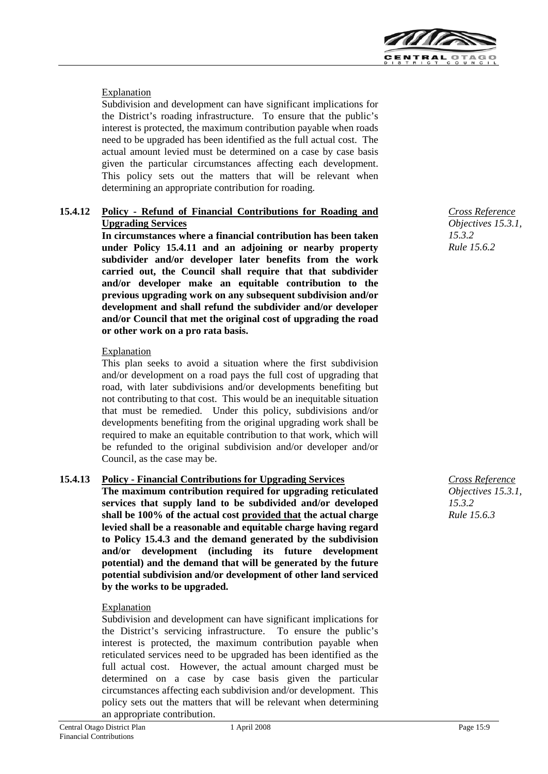

### Explanation

Subdivision and development can have significant implications for the District's roading infrastructure. To ensure that the public's interest is protected, the maximum contribution payable when roads need to be upgraded has been identified as the full actual cost. The actual amount levied must be determined on a case by case basis given the particular circumstances affecting each development. This policy sets out the matters that will be relevant when determining an appropriate contribution for roading.

#### **15.4.12 Policy - Refund of Financial Contributions for Roading and Upgrading Services**

**In circumstances where a financial contribution has been taken under Policy 15.4.11 and an adjoining or nearby property subdivider and/or developer later benefits from the work carried out, the Council shall require that that subdivider and/or developer make an equitable contribution to the previous upgrading work on any subsequent subdivision and/or development and shall refund the subdivider and/or developer and/or Council that met the original cost of upgrading the road or other work on a pro rata basis.**

#### **Explanation**

This plan seeks to avoid a situation where the first subdivision and/or development on a road pays the full cost of upgrading that road, with later subdivisions and/or developments benefiting but not contributing to that cost. This would be an inequitable situation that must be remedied. Under this policy, subdivisions and/or developments benefiting from the original upgrading work shall be required to make an equitable contribution to that work, which will be refunded to the original subdivision and/or developer and/or Council, as the case may be.

#### **15.4.13 Policy - Financial Contributions for Upgrading Services**

**The maximum contribution required for upgrading reticulated services that supply land to be subdivided and/or developed shall be 100% of the actual cost provided that the actual charge levied shall be a reasonable and equitable charge having regard to Policy 15.4.3 and the demand generated by the subdivision and/or development (including its future development potential) and the demand that will be generated by the future potential subdivision and/or development of other land serviced by the works to be upgraded.**

#### **Explanation**

Subdivision and development can have significant implications for the District's servicing infrastructure. To ensure the public's interest is protected, the maximum contribution payable when reticulated services need to be upgraded has been identified as the full actual cost. However, the actual amount charged must be determined on a case by case basis given the particular circumstances affecting each subdivision and/or development. This policy sets out the matters that will be relevant when determining an appropriate contribution.



*Cross Reference Objectives 15.3.1, 15.3.2 Rule 15.6.3*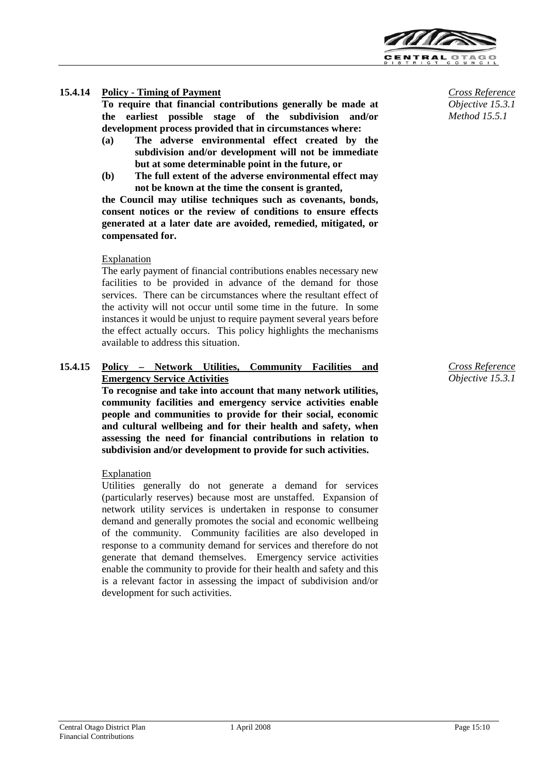

#### **15.4.14 Policy - Timing of Payment**

**To require that financial contributions generally be made at the earliest possible stage of the subdivision and/or development process provided that in circumstances where:**

- **(a) The adverse environmental effect created by the subdivision and/or development will not be immediate but at some determinable point in the future, or**
- **(b) The full extent of the adverse environmental effect may not be known at the time the consent is granted,**

**the Council may utilise techniques such as covenants, bonds, consent notices or the review of conditions to ensure effects generated at a later date are avoided, remedied, mitigated, or compensated for.**

#### Explanation

The early payment of financial contributions enables necessary new facilities to be provided in advance of the demand for those services. There can be circumstances where the resultant effect of the activity will not occur until some time in the future. In some instances it would be unjust to require payment several years before the effect actually occurs. This policy highlights the mechanisms available to address this situation.

#### **15.4.15 Policy – Network Utilities, Community Facilities and Emergency Service Activities**

**To recognise and take into account that many network utilities, community facilities and emergency service activities enable people and communities to provide for their social, economic and cultural wellbeing and for their health and safety, when assessing the need for financial contributions in relation to subdivision and/or development to provide for such activities.**

#### Explanation

Utilities generally do not generate a demand for services (particularly reserves) because most are unstaffed. Expansion of network utility services is undertaken in response to consumer demand and generally promotes the social and economic wellbeing of the community. Community facilities are also developed in response to a community demand for services and therefore do not generate that demand themselves. Emergency service activities enable the community to provide for their health and safety and this is a relevant factor in assessing the impact of subdivision and/or development for such activities.

*Cross Reference Objective 15.3.1 Method 15.5.1*

*Cross Reference Objective 15.3.1*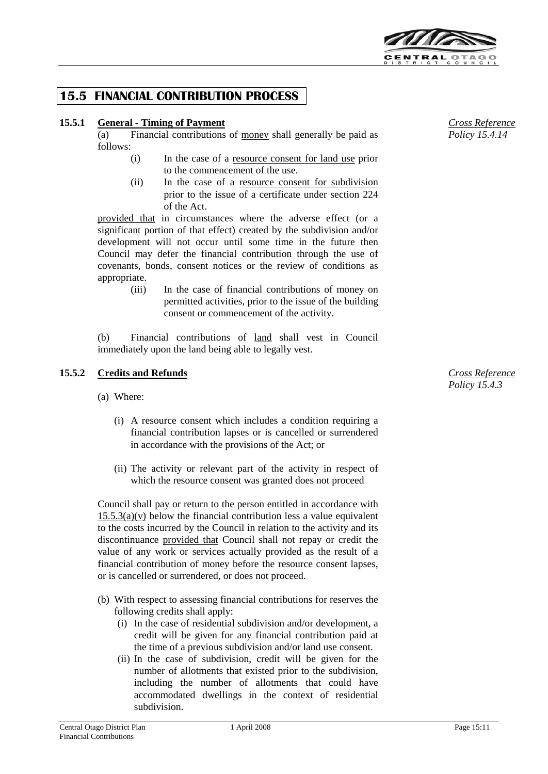

## **15.5 FINANCIAL CONTRIBUTION PROCESS**

## **15.5.1 General - Timing of Payment**

(a) Financial contributions of money shall generally be paid as follows:

- (i) In the case of a resource consent for land use prior to the commencement of the use.
- (ii) In the case of a resource consent for subdivision prior to the issue of a certificate under section 224 of the Act.

provided that in circumstances where the adverse effect (or a significant portion of that effect) created by the subdivision and/or development will not occur until some time in the future then Council may defer the financial contribution through the use of covenants, bonds, consent notices or the review of conditions as appropriate.

> (iii) In the case of financial contributions of money on permitted activities, prior to the issue of the building consent or commencement of the activity.

(b) Financial contributions of land shall vest in Council immediately upon the land being able to legally vest.

## **15.5.2 Credits and Refunds**

- (a) Where:
	- (i) A resource consent which includes a condition requiring a financial contribution lapses or is cancelled or surrendered in accordance with the provisions of the Act; or
	- (ii) The activity or relevant part of the activity in respect of which the resource consent was granted does not proceed

Council shall pay or return to the person entitled in accordance with  $15.5.3(a)(v)$  below the financial contribution less a value equivalent to the costs incurred by the Council in relation to the activity and its discontinuance provided that Council shall not repay or credit the value of any work or services actually provided as the result of a financial contribution of money before the resource consent lapses, or is cancelled or surrendered, or does not proceed.

- (b) With respect to assessing financial contributions for reserves the following credits shall apply:
	- (i) In the case of residential subdivision and/or development, a credit will be given for any financial contribution paid at the time of a previous subdivision and/or land use consent.
	- (ii) In the case of subdivision, credit will be given for the number of allotments that existed prior to the subdivision, including the number of allotments that could have accommodated dwellings in the context of residential subdivision.

*Cross Reference Policy 15.4.14*

*Cross Reference Policy 15.4.3*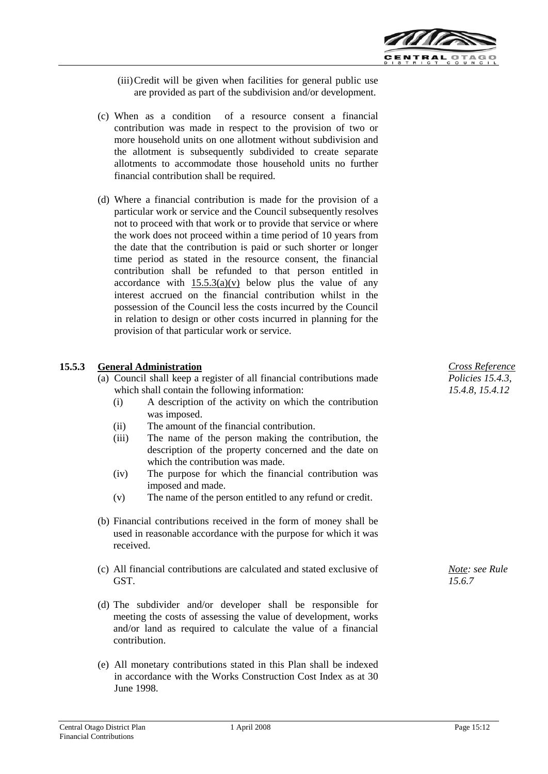

- (iii)Credit will be given when facilities for general public use are provided as part of the subdivision and/or development.
- (c) When as a condition of a resource consent a financial contribution was made in respect to the provision of two or more household units on one allotment without subdivision and the allotment is subsequently subdivided to create separate allotments to accommodate those household units no further financial contribution shall be required.
- (d) Where a financial contribution is made for the provision of a particular work or service and the Council subsequently resolves not to proceed with that work or to provide that service or where the work does not proceed within a time period of 10 years from the date that the contribution is paid or such shorter or longer time period as stated in the resource consent, the financial contribution shall be refunded to that person entitled in accordance with  $15.5.3(a)(v)$  below plus the value of any interest accrued on the financial contribution whilst in the possession of the Council less the costs incurred by the Council in relation to design or other costs incurred in planning for the provision of that particular work or service.

## **15.5.3 General Administration**

- (a) Council shall keep a register of all financial contributions made which shall contain the following information:
	- (i) A description of the activity on which the contribution was imposed.
	- (ii) The amount of the financial contribution.
	- (iii) The name of the person making the contribution, the description of the property concerned and the date on which the contribution was made.
	- (iv) The purpose for which the financial contribution was imposed and made.
	- (v) The name of the person entitled to any refund or credit.
- (b) Financial contributions received in the form of money shall be used in reasonable accordance with the purpose for which it was received.
- (c) All financial contributions are calculated and stated exclusive of GST.
- (d) The subdivider and/or developer shall be responsible for meeting the costs of assessing the value of development, works and/or land as required to calculate the value of a financial contribution.
- (e) All monetary contributions stated in this Plan shall be indexed in accordance with the Works Construction Cost Index as at 30 June 1998.

*Cross Reference Policies 15.4.3, 15.4.8, 15.4.12*

*Note: see Rule 15.6.7*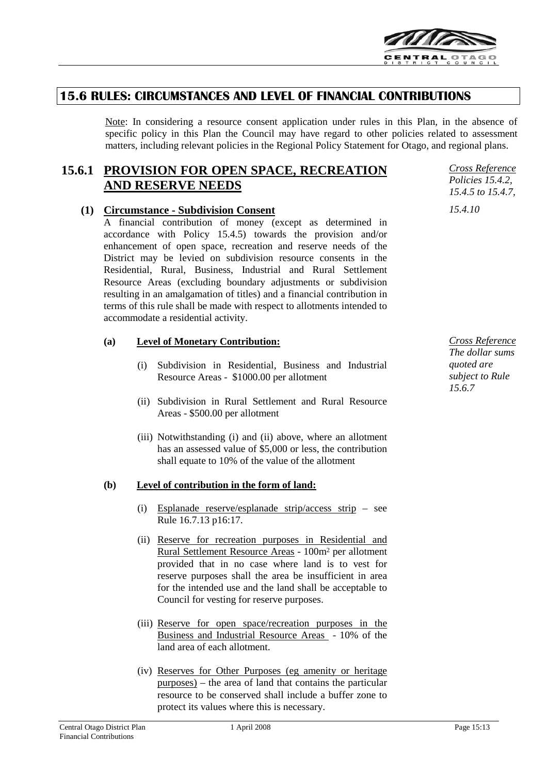

## **15.6 RULES: CIRCUMSTANCES AND LEVEL OF FINANCIAL CONTRIBUTIONS**

Note: In considering a resource consent application under rules in this Plan, in the absence of specific policy in this Plan the Council may have regard to other policies related to assessment matters, including relevant policies in the Regional Policy Statement for Otago, and regional plans.

## **15.6.1 PROVISION FOR OPEN SPACE, RECREATION AND RESERVE NEEDS**

## **(1) Circumstance - Subdivision Consent**

A financial contribution of money (except as determined in accordance with Policy 15.4.5) towards the provision and/or enhancement of open space, recreation and reserve needs of the District may be levied on subdivision resource consents in the Residential, Rural, Business, Industrial and Rural Settlement Resource Areas (excluding boundary adjustments or subdivision resulting in an amalgamation of titles) and a financial contribution in terms of this rule shall be made with respect to allotments intended to accommodate a residential activity.

#### **(a) Level of Monetary Contribution:**

- (i) Subdivision in Residential, Business and Industrial Resource Areas - \$1000.00 per allotment
- (ii) Subdivision in Rural Settlement and Rural Resource Areas - \$500.00 per allotment
- (iii) Notwithstanding (i) and (ii) above, where an allotment has an assessed value of \$5,000 or less, the contribution shall equate to 10% of the value of the allotment

#### **(b) Level of contribution in the form of land:**

- (i) Esplanade reserve/esplanade strip/access strip see Rule 16.7.13 p16:17.
- (ii) Reserve for recreation purposes in Residential and Rural Settlement Resource Areas - 100m2 per allotment provided that in no case where land is to vest for reserve purposes shall the area be insufficient in area for the intended use and the land shall be acceptable to Council for vesting for reserve purposes.
- (iii) Reserve for open space/recreation purposes in the Business and Industrial Resource Areas - 10% of the land area of each allotment.
- (iv) Reserves for Other Purposes (eg amenity or heritage purposes) – the area of land that contains the particular resource to be conserved shall include a buffer zone to protect its values where this is necessary.

*Cross Reference Policies 15.4.2, 15.4.5 to 15.4.7, 15.4.10*

*Cross Reference The dollar sums quoted are subject to Rule 15.6.7*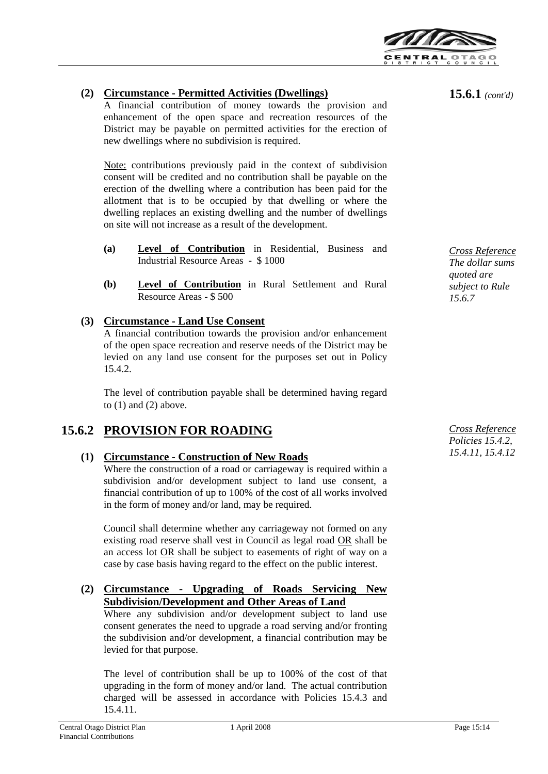

## **(2) Circumstance - Permitted Activities (Dwellings)**

A financial contribution of money towards the provision and enhancement of the open space and recreation resources of the District may be payable on permitted activities for the erection of new dwellings where no subdivision is required.

Note: contributions previously paid in the context of subdivision consent will be credited and no contribution shall be payable on the erection of the dwelling where a contribution has been paid for the allotment that is to be occupied by that dwelling or where the dwelling replaces an existing dwelling and the number of dwellings on site will not increase as a result of the development.

- **(a) Level of Contribution** in Residential, Business and Industrial Resource Areas - \$ 1000
- **(b) Level of Contribution** in Rural Settlement and Rural Resource Areas - \$ 500

## **(3) Circumstance - Land Use Consent**

A financial contribution towards the provision and/or enhancement of the open space recreation and reserve needs of the District may be levied on any land use consent for the purposes set out in Policy 15.4.2.

The level of contribution payable shall be determined having regard to  $(1)$  and  $(2)$  above.

## **15.6.2 PROVISION FOR ROADING**

## **(1) Circumstance - Construction of New Roads**

Where the construction of a road or carriageway is required within a subdivision and/or development subject to land use consent, a financial contribution of up to 100% of the cost of all works involved in the form of money and/or land, may be required.

Council shall determine whether any carriageway not formed on any existing road reserve shall vest in Council as legal road OR shall be an access lot OR shall be subject to easements of right of way on a case by case basis having regard to the effect on the public interest.

#### **(2) Circumstance - Upgrading of Roads Servicing New Subdivision/Development and Other Areas of Land**

Where any subdivision and/or development subject to land use consent generates the need to upgrade a road serving and/or fronting the subdivision and/or development, a financial contribution may be levied for that purpose.

The level of contribution shall be up to 100% of the cost of that upgrading in the form of money and/or land. The actual contribution charged will be assessed in accordance with Policies 15.4.3 and 15.4.11.

**15.6.1** *(cont'd)*

*Cross Reference The dollar sums quoted are subject to Rule 15.6.7*

*Cross Reference Policies 15.4.2, 15.4.11, 15.4.12*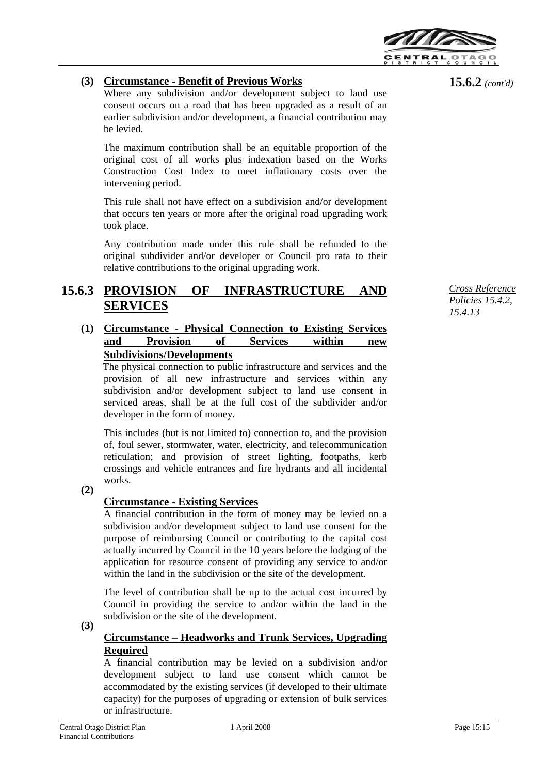

## **(3) Circumstance - Benefit of Previous Works**

Where any subdivision and/or development subject to land use consent occurs on a road that has been upgraded as a result of an earlier subdivision and/or development, a financial contribution may be levied.

The maximum contribution shall be an equitable proportion of the original cost of all works plus indexation based on the Works Construction Cost Index to meet inflationary costs over the intervening period.

This rule shall not have effect on a subdivision and/or development that occurs ten years or more after the original road upgrading work took place.

Any contribution made under this rule shall be refunded to the original subdivider and/or developer or Council pro rata to their relative contributions to the original upgrading work.

#### **15.6.3 OF INFRASTRUCTURE AND SERVICES**

## **(1) Circumstance - Physical Connection to Existing Services and Provision of Services within new Subdivisions/Developments**

The physical connection to public infrastructure and services and the provision of all new infrastructure and services within any subdivision and/or development subject to land use consent in serviced areas, shall be at the full cost of the subdivider and/or developer in the form of money.

This includes (but is not limited to) connection to, and the provision of, foul sewer, stormwater, water, electricity, and telecommunication reticulation; and provision of street lighting, footpaths, kerb crossings and vehicle entrances and fire hydrants and all incidental works.

**(2)**

## **Circumstance - Existing Services**

A financial contribution in the form of money may be levied on a subdivision and/or development subject to land use consent for the purpose of reimbursing Council or contributing to the capital cost actually incurred by Council in the 10 years before the lodging of the application for resource consent of providing any service to and/or within the land in the subdivision or the site of the development.

The level of contribution shall be up to the actual cost incurred by Council in providing the service to and/or within the land in the subdivision or the site of the development.

**(3)**

## **Circumstance – Headworks and Trunk Services, Upgrading Required**

A financial contribution may be levied on a subdivision and/or development subject to land use consent which cannot be accommodated by the existing services (if developed to their ultimate capacity) for the purposes of upgrading or extension of bulk services or infrastructure.

**15.6.2** *(cont'd)*

*Cross Reference Policies 15.4.2, 15.4.13*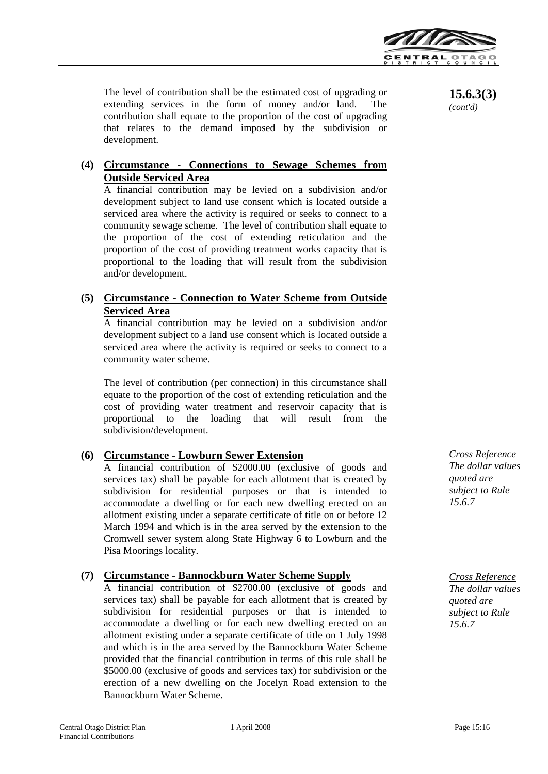

The level of contribution shall be the estimated cost of upgrading or extending services in the form of money and/or land. The contribution shall equate to the proportion of the cost of upgrading that relates to the demand imposed by the subdivision or development.

## **(4) Circumstance - Connections to Sewage Schemes from Outside Serviced Area**

A financial contribution may be levied on a subdivision and/or development subject to land use consent which is located outside a serviced area where the activity is required or seeks to connect to a community sewage scheme. The level of contribution shall equate to the proportion of the cost of extending reticulation and the proportion of the cost of providing treatment works capacity that is proportional to the loading that will result from the subdivision and/or development.

## **(5) Circumstance - Connection to Water Scheme from Outside Serviced Area**

A financial contribution may be levied on a subdivision and/or development subject to a land use consent which is located outside a serviced area where the activity is required or seeks to connect to a community water scheme.

The level of contribution (per connection) in this circumstance shall equate to the proportion of the cost of extending reticulation and the cost of providing water treatment and reservoir capacity that is proportional to the loading that will result from the subdivision/development.

## **(6) Circumstance - Lowburn Sewer Extension**

A financial contribution of \$2000.00 (exclusive of goods and services tax) shall be payable for each allotment that is created by subdivision for residential purposes or that is intended to accommodate a dwelling or for each new dwelling erected on an allotment existing under a separate certificate of title on or before 12 March 1994 and which is in the area served by the extension to the Cromwell sewer system along State Highway 6 to Lowburn and the Pisa Moorings locality.

## **(7) Circumstance - Bannockburn Water Scheme Supply**

A financial contribution of \$2700.00 (exclusive of goods and services tax) shall be payable for each allotment that is created by subdivision for residential purposes or that is intended to accommodate a dwelling or for each new dwelling erected on an allotment existing under a separate certificate of title on 1 July 1998 and which is in the area served by the Bannockburn Water Scheme provided that the financial contribution in terms of this rule shall be \$5000.00 (exclusive of goods and services tax) for subdivision or the erection of a new dwelling on the Jocelyn Road extension to the Bannockburn Water Scheme.

**15.6.3(3)**  *(cont'd)*

*Cross Reference The dollar values quoted are subject to Rule 15.6.7*

*Cross Reference The dollar values quoted are subject to Rule 15.6.7*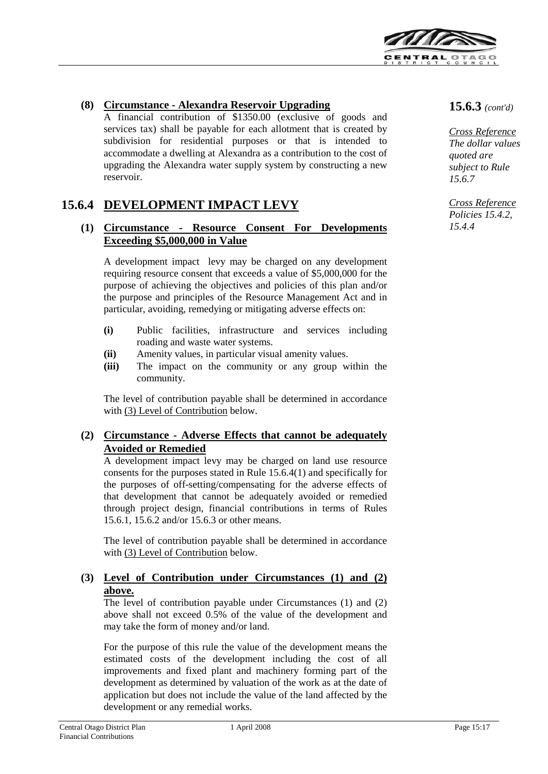

## **(8) Circumstance - Alexandra Reservoir Upgrading**

A financial contribution of \$1350.00 (exclusive of goods and services tax) shall be payable for each allotment that is created by subdivision for residential purposes or that is intended to accommodate a dwelling at Alexandra as a contribution to the cost of upgrading the Alexandra water supply system by constructing a new reservoir.

## **15.6.4 DEVELOPMENT IMPACT LEVY**

#### **(1) Circumstance - Resource Consent For Developments Exceeding \$5,000,000 in Value**

A development impact levy may be charged on any development requiring resource consent that exceeds a value of \$5,000,000 for the purpose of achieving the objectives and policies of this plan and/or the purpose and principles of the Resource Management Act and in particular, avoiding, remedying or mitigating adverse effects on:

- **(i)** Public facilities, infrastructure and services including roading and waste water systems.
- **(ii)** Amenity values, in particular visual amenity values.
- **(iii)** The impact on the community or any group within the community.

The level of contribution payable shall be determined in accordance with (3) Level of Contribution below.

#### **(2) Circumstance - Adverse Effects that cannot be adequately Avoided or Remedied**

A development impact levy may be charged on land use resource consents for the purposes stated in Rule 15.6.4(1) and specifically for the purposes of off-setting/compensating for the adverse effects of that development that cannot be adequately avoided or remedied through project design, financial contributions in terms of Rules 15.6.1, 15.6.2 and/or 15.6.3 or other means.

The level of contribution payable shall be determined in accordance with (3) Level of Contribution below.

## **(3) Level of Contribution under Circumstances (1) and (2) above.**

The level of contribution payable under Circumstances (1) and (2) above shall not exceed 0.5% of the value of the development and may take the form of money and/or land.

For the purpose of this rule the value of the development means the estimated costs of the development including the cost of all improvements and fixed plant and machinery forming part of the development as determined by valuation of the work as at the date of application but does not include the value of the land affected by the development or any remedial works.

**15.6.3** *(cont'd)*

*Cross Reference The dollar values quoted are subject to Rule 15.6.7*

*Cross Reference Policies 15.4.2, 15.4.4*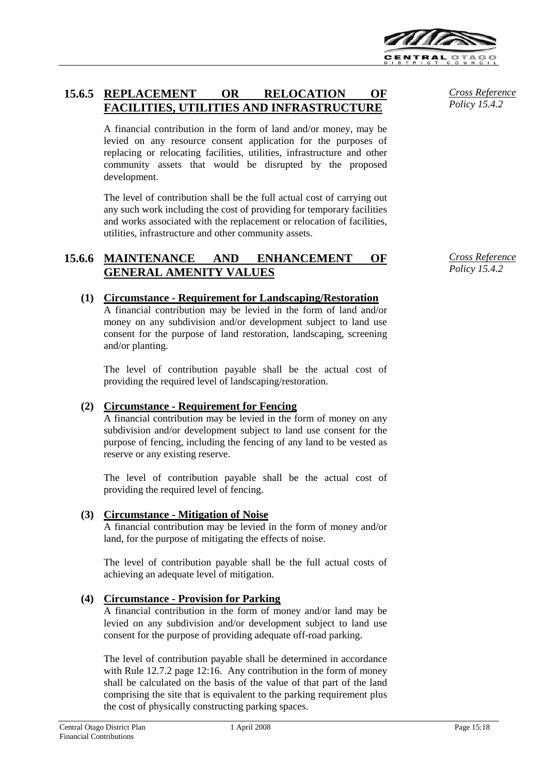

## **15.6.5 REPLACEMENT OR RELOCATION OF FACILITIES, UTILITIES AND INFRASTRUCTURE**

A financial contribution in the form of land and/or money, may be levied on any resource consent application for the purposes of replacing or relocating facilities, utilities, infrastructure and other community assets that would be disrupted by the proposed development.

The level of contribution shall be the full actual cost of carrying out any such work including the cost of providing for temporary facilities and works associated with the replacement or relocation of facilities, utilities, infrastructure and other community assets.

## **15.6.6 MAINTENANCE AND ENHANCEMENT OF GENERAL AMENITY VALUES**

## **(1) Circumstance - Requirement for Landscaping/Restoration**

A financial contribution may be levied in the form of land and/or money on any subdivision and/or development subject to land use consent for the purpose of land restoration, landscaping, screening and/or planting.

The level of contribution payable shall be the actual cost of providing the required level of landscaping/restoration.

## **(2) Circumstance - Requirement for Fencing**

A financial contribution may be levied in the form of money on any subdivision and/or development subject to land use consent for the purpose of fencing, including the fencing of any land to be vested as reserve or any existing reserve.

The level of contribution payable shall be the actual cost of providing the required level of fencing.

#### **(3) Circumstance - Mitigation of Noise**

A financial contribution may be levied in the form of money and/or land, for the purpose of mitigating the effects of noise.

The level of contribution payable shall be the full actual costs of achieving an adequate level of mitigation.

## **(4) Circumstance - Provision for Parking**

A financial contribution in the form of money and/or land may be levied on any subdivision and/or development subject to land use consent for the purpose of providing adequate off-road parking.

The level of contribution payable shall be determined in accordance with Rule 12.7.2 page 12:16. Any contribution in the form of money shall be calculated on the basis of the value of that part of the land comprising the site that is equivalent to the parking requirement plus the cost of physically constructing parking spaces.

*Cross Reference Policy 15.4.2*

*Cross Reference Policy 15.4.2*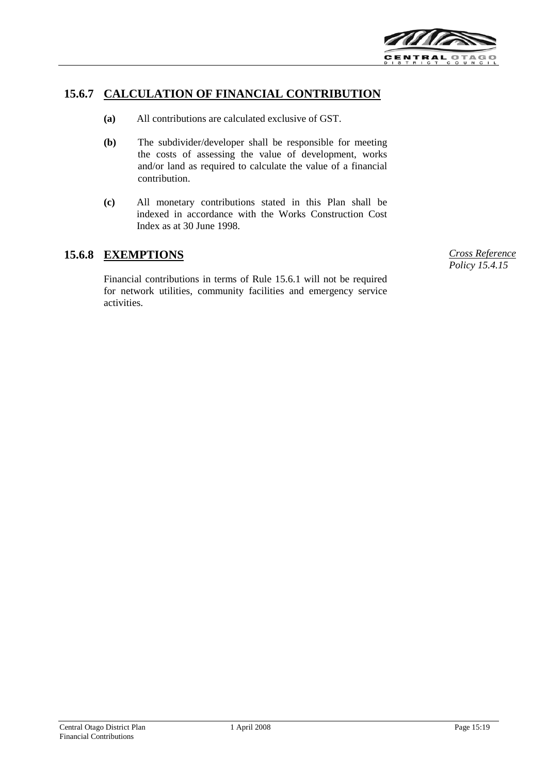

## **15.6.7 CALCULATION OF FINANCIAL CONTRIBUTION**

- **(a)** All contributions are calculated exclusive of GST.
- **(b)** The subdivider/developer shall be responsible for meeting the costs of assessing the value of development, works and/or land as required to calculate the value of a financial contribution.
- **(c)** All monetary contributions stated in this Plan shall be indexed in accordance with the Works Construction Cost Index as at 30 June 1998.

## **15.6.8 EXEMPTIONS** *Cross Reference*

Financial contributions in terms of Rule 15.6.1 will not be required for network utilities, community facilities and emergency service activities.

*Policy 15.4.15*